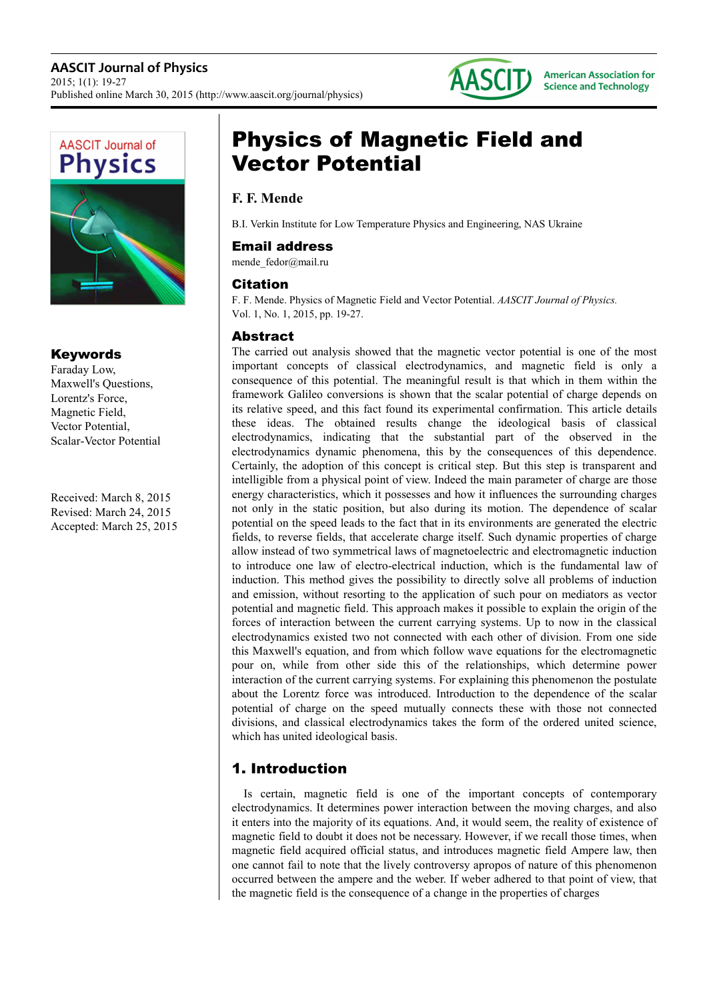



### Keywords

Faraday Low, Maxwell's Questions, Lorentz's Force, Magnetic Field, Vector Potential, Scalar-Vector Potential

Received: March 8, 2015 Revised: March 24, 2015 Accepted: March 25, 2015

# Physics of Magnetic Field and Vector Potential

## **F. F. Mende**

B.I. Verkin Institute for Low Temperature Physics and Engineering, NAS Ukraine

### Email address

mende\_fedor@mail.ru

### Citation

F. F. Mende. Physics of Magnetic Field and Vector Potential. *AASCIT Journal of Physics.*  Vol. 1, No. 1, 2015, pp. 19-27.

### Abstract

The carried out analysis showed that the magnetic vector potential is one of the most important concepts of classical electrodynamics, and magnetic field is only a consequence of this potential. The meaningful result is that which in them within the framework Galileo conversions is shown that the scalar potential of charge depends on its relative speed, and this fact found its experimental confirmation. This article details these ideas. The obtained results change the ideological basis of classical electrodynamics, indicating that the substantial part of the observed in the electrodynamics dynamic phenomena, this by the consequences of this dependence. Certainly, the adoption of this concept is critical step. But this step is transparent and intelligible from a physical point of view. Indeed the main parameter of charge are those energy characteristics, which it possesses and how it influences the surrounding charges not only in the static position, but also during its motion. The dependence of scalar potential on the speed leads to the fact that in its environments are generated the electric fields, to reverse fields, that accelerate charge itself. Such dynamic properties of charge allow instead of two symmetrical laws of magnetoelectric and electromagnetic induction to introduce one law of electro-electrical induction, which is the fundamental law of induction. This method gives the possibility to directly solve all problems of induction and emission, without resorting to the application of such pour on mediators as vector potential and magnetic field. This approach makes it possible to explain the origin of the forces of interaction between the current carrying systems. Up to now in the classical electrodynamics existed two not connected with each other of division. From one side this Maxwell's equation, and from which follow wave equations for the electromagnetic pour on, while from other side this of the relationships, which determine power interaction of the current carrying systems. For explaining this phenomenon the postulate about the Lorentz force was introduced. Introduction to the dependence of the scalar potential of charge on the speed mutually connects these with those not connected divisions, and classical electrodynamics takes the form of the ordered united science, which has united ideological basis.

# 1. Introduction

Is certain, magnetic field is one of the important concepts of contemporary electrodynamics. It determines power interaction between the moving charges, and also it enters into the majority of its equations. And, it would seem, the reality of existence of magnetic field to doubt it does not be necessary. However, if we recall those times, when magnetic field acquired official status, and introduces magnetic field Ampere law, then one cannot fail to note that the lively controversy apropos of nature of this phenomenon occurred between the ampere and the weber. If weber adhered to that point of view, that the magnetic field is the consequence of a change in the properties of charges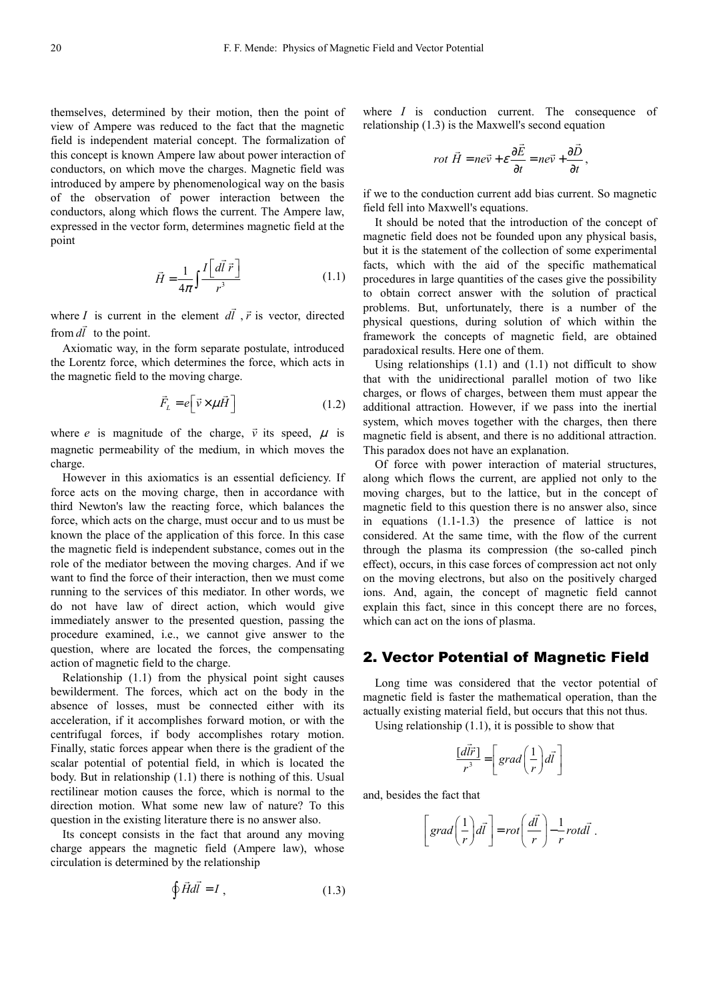themselves, determined by their motion, then the point of view of Ampere was reduced to the fact that the magnetic field is independent material concept. The formalization of this concept is known Ampere law about power interaction of conductors, on which move the charges. Magnetic field was introduced by ampere by phenomenological way on the basis of the observation of power interaction between the conductors, along which flows the current. The Ampere law, expressed in the vector form, determines magnetic field at the point

$$
\vec{H} = \frac{1}{4\pi} \int \frac{I\left[d\vec{l}\ \vec{r}\ \right]}{r^3} \tag{1.1}
$$

 $\overline{\phantom{a}}$ 

where *I* is current in the element *dl I* is current in the element  $d\vec{l}$ ,  $\vec{r}$  is vector, directed from *dl* to the point.

Axiomatic way, in the form separate postulate, introduced the Lorentz force, which determines the force, which acts in the magnetic field to the moving charge.

$$
\vec{F}_{L} = e\left[\vec{v} \times \mu \vec{H}\right]
$$
 (1.2)

where *e* is magnitude of the charge,  $\vec{v}$  its speed,  $\mu$  is magnetic permeability of the medium, in which moves the charge.

However in this axiomatics is an essential deficiency. If force acts on the moving charge, then in accordance with third Newton's law the reacting force, which balances the force, which acts on the charge, must occur and to us must be known the place of the application of this force. In this case the magnetic field is independent substance, comes out in the role of the mediator between the moving charges. And if we want to find the force of their interaction, then we must come running to the services of this mediator. In other words, we do not have law of direct action, which would give immediately answer to the presented question, passing the procedure examined, i.e., we cannot give answer to the question, where are located the forces, the compensating action of magnetic field to the charge.

Relationship (1.1) from the physical point sight causes bewilderment. The forces, which act on the body in the absence of losses, must be connected either with its acceleration, if it accomplishes forward motion, or with the centrifugal forces, if body accomplishes rotary motion. Finally, static forces appear when there is the gradient of the scalar potential of potential field, in which is located the body. But in relationship (1.1) there is nothing of this. Usual rectilinear motion causes the force, which is normal to the direction motion. What some new law of nature? To this question in the existing literature there is no answer also.

Its concept consists in the fact that around any moving charge appears the magnetic field (Ampere law), whose circulation is determined by the relationship

$$
\oint \vec{H} d\vec{l} = I , \qquad (1.3)
$$

where *I* is conduction current. The consequence of relationship (1.3) is the Maxwell's second equation

$$
rot \ \vec{H} = ne\vec{v} + \varepsilon \frac{\partial \vec{E}}{\partial t} = ne\vec{v} + \frac{\partial \vec{D}}{\partial t},
$$

if we to the conduction current add bias current. So magnetic field fell into Maxwell's equations.

It should be noted that the introduction of the concept of magnetic field does not be founded upon any physical basis, but it is the statement of the collection of some experimental facts, which with the aid of the specific mathematical procedures in large quantities of the cases give the possibility to obtain correct answer with the solution of practical problems. But, unfortunately, there is a number of the physical questions, during solution of which within the framework the concepts of magnetic field, are obtained paradoxical results. Here one of them.

Using relationships  $(1.1)$  and  $(1.1)$  not difficult to show that with the unidirectional parallel motion of two like charges, or flows of charges, between them must appear the additional attraction. However, if we pass into the inertial system, which moves together with the charges, then there magnetic field is absent, and there is no additional attraction. This paradox does not have an explanation.

Of force with power interaction of material structures, along which flows the current, are applied not only to the moving charges, but to the lattice, but in the concept of magnetic field to this question there is no answer also, since in equations (1.1-1.3) the presence of lattice is not considered. At the same time, with the flow of the current through the plasma its compression (the so-called pinch effect), occurs, in this case forces of compression act not only on the moving electrons, but also on the positively charged ions. And, again, the concept of magnetic field cannot explain this fact, since in this concept there are no forces, which can act on the ions of plasma.

#### 2. Vector Potential of Magnetic Field

Long time was considered that the vector potential of magnetic field is faster the mathematical operation, than the actually existing material field, but occurs that this not thus.

Using relationship  $(1.1)$ , it is possible to show that

$$
\frac{[d\vec{l}\vec{r}]}{r^3} = \left[ grad\left(\frac{1}{r}\right) d\vec{l} \right]
$$

and, besides the fact that

$$
\[grad\left(\frac{1}{r}\right)d\vec{l}\] = rot\left(\frac{d\vec{l}}{r}\right) - \frac{1}{r}rot d\vec{l}.
$$

.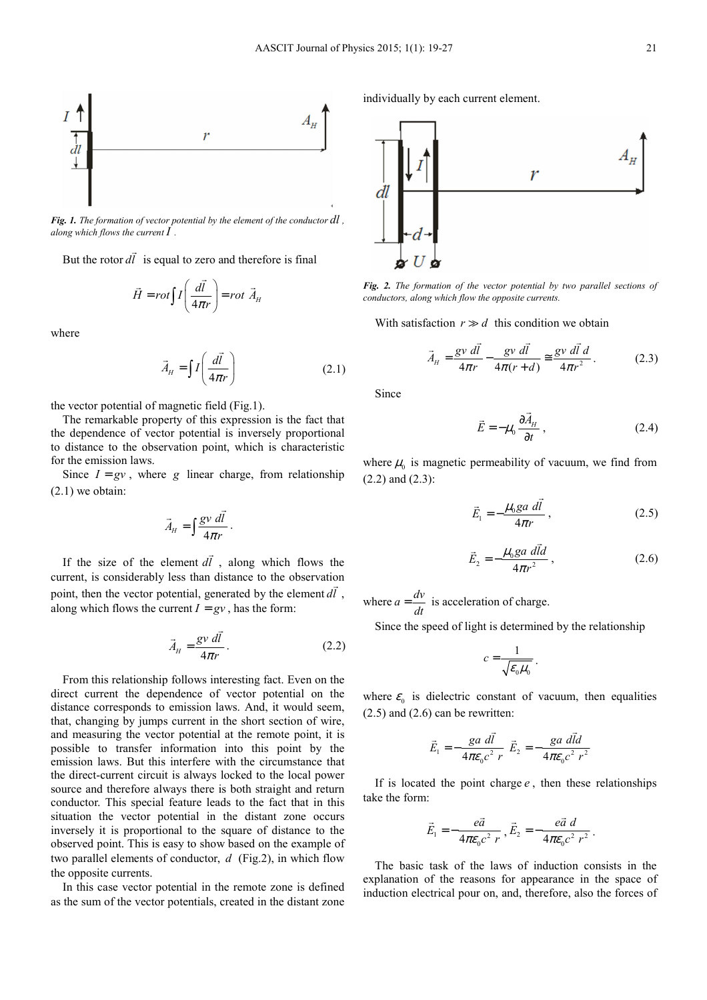

*Fig. 1. The formation of vector potential by the element of the conductor dl , along which flows the current I .* 

But the rotor *dl*  $\overline{a}$ is equal to zero and therefore is final

$$
\vec{H} = rot \int I \left( \frac{d\vec{l}}{4\pi r} \right) = rot \ \vec{A}_{H}
$$

where

$$
\vec{A}_H = \iint \left(\frac{d\vec{l}}{4\pi r}\right) \tag{2.1}
$$

the vector potential of magnetic field (Fig.1).

The remarkable property of this expression is the fact that the dependence of vector potential is inversely proportional to distance to the observation point, which is characteristic for the emission laws.

Since  $I = gv$ , where *g* linear charge, from relationship (2.1) we obtain:

$$
\vec{A}_H = \int \frac{g v \, d\vec{l}}{4\pi r} \, .
$$

If the size of the element *dl*  $\overline{\phantom{a}}$ , along which flows the current, is considerably less than distance to the observation point, then the vector potential, generated by the element *dl* , along which flows the current  $I = gv$ , has the form:

$$
\vec{A}_H = \frac{g v \, d\vec{l}}{4\pi r} \,. \tag{2.2}
$$

From this relationship follows interesting fact. Even on the direct current the dependence of vector potential on the distance corresponds to emission laws. And, it would seem, that, changing by jumps current in the short section of wire, and measuring the vector potential at the remote point, it is possible to transfer information into this point by the emission laws. But this interfere with the circumstance that the direct-current circuit is always locked to the local power source and therefore always there is both straight and return conductor. This special feature leads to the fact that in this situation the vector potential in the distant zone occurs inversely it is proportional to the square of distance to the observed point. This is easy to show based on the example of two parallel elements of conductor, *d* (Fig.2), in which flow the opposite currents.

In this case vector potential in the remote zone is defined as the sum of the vector potentials, created in the distant zone

individually by each current element.



*Fig. 2. The formation of the vector potential by two parallel sections of conductors, along which flow the opposite currents.* 

With satisfaction  $r \gg d$  this condition we obtain

$$
\vec{A}_H = \frac{gv \, d\vec{l}}{4\pi r} - \frac{gv \, d\vec{l}}{4\pi (r+d)} \approx \frac{gv \, d\vec{l} \, d}{4\pi r^2} \,. \tag{2.3}
$$

Since

$$
\vec{E} = -\mu_0 \frac{\partial \vec{A}_H}{\partial t},
$$
\n(2.4)

where  $\mu_0$  is magnetic permeability of vacuum, we find from (2.2) and (2.3):

$$
\vec{E}_1 = -\frac{\mu_0 g a \, d\vec{l}}{4\pi r} \,,\tag{2.5}
$$

$$
\vec{E}_2 = -\frac{\mu_0 g a \, d\vec{l}d}{4\pi r^2} \,,\tag{2.6}
$$

where  $a = \frac{dv}{dt}$  is acceleration of charge.

Since the speed of light is determined by the relationship

$$
c=\frac{1}{\sqrt{\varepsilon_0\mu_0}}.
$$

where  $\varepsilon_0$  is dielectric constant of vacuum, then equalities  $(2.5)$  and  $(2.6)$  can be rewritten:

$$
\vec{E}_1 = -\frac{ga \, d\vec{l}}{4\pi\varepsilon_0 c^2 \, r} \, \vec{E}_2 = -\frac{ga \, d\vec{l}d}{4\pi\varepsilon_0 c^2 \, r^2}
$$

If is located the point charge *e* , then these relationships take the form:

$$
\vec{E}_1 = -\frac{e\vec{a}}{4\pi\varepsilon_0 c^2 r}, \vec{E}_2 = -\frac{e\vec{a} \, d}{4\pi\varepsilon_0 c^2 r^2}
$$

.

The basic task of the laws of induction consists in the explanation of the reasons for appearance in the space of induction electrical pour on, and, therefore, also the forces of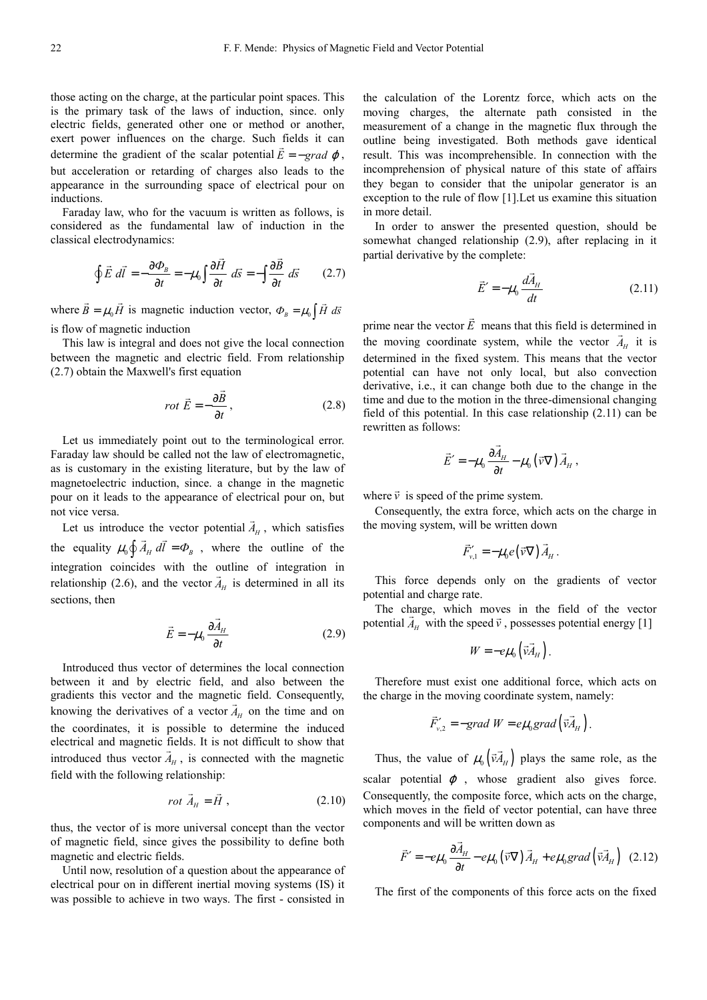those acting on the charge, at the particular point spaces. This is the primary task of the laws of induction, since. only electric fields, generated other one or method or another, exert power influences on the charge. Such fields it can determine the gradient of the scalar potential  $\vec{E} = -\text{grad }\varphi$ , but acceleration or retarding of charges also leads to the appearance in the surrounding space of electrical pour on inductions.

Faraday law, who for the vacuum is written as follows, is considered as the fundamental law of induction in the classical electrodynamics:

$$
\oint \vec{E} \ d\vec{l} = -\frac{\partial \Phi_B}{\partial t} = -\mu_0 \int \frac{\partial \vec{H}}{\partial t} \ d\vec{s} = -\int \frac{\partial \vec{B}}{\partial t} \ d\vec{s} \qquad (2.7)
$$

where  $\vec{B} = \mu_0 \vec{H}$  $\vec{B} = \mu_0 \vec{H}$  is magnetic induction vector,  $\Phi_B = \mu_0 \int \vec{H} d\vec{s}$ is flow of magnetic induction

This law is integral and does not give the local connection between the magnetic and electric field. From relationship (2.7) obtain the Maxwell's first equation

$$
rot \vec{E} = -\frac{\partial \vec{B}}{\partial t},
$$
\n(2.8)

Let us immediately point out to the terminological error. Faraday law should be called not the law of electromagnetic, as is customary in the existing literature, but by the law of magnetoelectric induction, since. a change in the magnetic pour on it leads to the appearance of electrical pour on, but not vice versa.  $\overline{a}$ 

Let us introduce the vector potential  $A_H$ e the vector potential  $A_H$ , which satisfies the equality  $\mu_0 \oint \vec{A}_H \, d\vec{l} = \Phi_B$ , where the outline of the integration coincides with the outline of integration in relationship (2.6), and the vector  $A_H$  is determined in all its sections, then

$$
\vec{E} = -\mu_0 \frac{\partial \vec{A}_H}{\partial t}
$$
 (2.9)

Introduced thus vector of determines the local connection between it and by electric field, and also between the gradients this vector and the magnetic field. Consequently, knowing the derivatives of a vector  $A_H$  on the time and on the coordinates, it is possible to determine the induced electrical and magnetic fields. It is not difficult to show that introduced thus vector  $A_H$ , is connected with the magnetic field with the following relationship:

$$
rot \vec{A}_H = \vec{H} , \qquad (2.10)
$$

thus, the vector of is more universal concept than the vector of magnetic field, since gives the possibility to define both magnetic and electric fields.

Until now, resolution of a question about the appearance of electrical pour on in different inertial moving systems (IS) it was possible to achieve in two ways. The first - consisted in

the calculation of the Lorentz force, which acts on the moving charges, the alternate path consisted in the measurement of a change in the magnetic flux through the outline being investigated. Both methods gave identical result. This was incomprehensible. In connection with the incomprehension of physical nature of this state of affairs they began to consider that the unipolar generator is an exception to the rule of flow [1].Let us examine this situation in more detail.

In order to answer the presented question, should be somewhat changed relationship (2.9), after replacing in it partial derivative by the complete:

$$
\vec{E}' = -\mu_0 \frac{d\vec{A}_H}{dt}
$$
 (2.11)

prime near the vector *E* means that this field is determined in the moving coordinate system, while the vector  $A_H$  it is determined in the fixed system. This means that the vector potential can have not only local, but also convection derivative, i.e., it can change both due to the change in the time and due to the motion in the three-dimensional changing field of this potential. In this case relationship (2.11) can be rewritten as follows:

 $\rightarrow$ 

$$
\vec{E}' = -\mu_0 \frac{\partial \vec{A}_H}{\partial t} - \mu_0 \left( \vec{v} \nabla \right) \vec{A}_H,
$$

where  $\vec{v}$  is speed of the prime system.

Consequently, the extra force, which acts on the charge in the moving system, will be written down

$$
\vec{F}_{v,1}' = -\mu_0 e(\vec{v}\nabla)\vec{A}_H.
$$

This force depends only on the gradients of vector potential and charge rate.

The charge, which moves in the field of the vector potential  $A_H$  with the speed  $\vec{v}$ , possesses potential energy [1]

$$
W = -e\mu_0 \left( \vec{v} \vec{A}_H \right).
$$

Therefore must exist one additional force, which acts on the charge in the moving coordinate system, namely:

$$
\vec{F}_{v,2}^{\prime} = -grad W = e\mu_0 grad(\vec{v} \vec{A}_H).
$$

Thus, the value of  $\mu_0 \left(\vec{v} A_H\right)$  $\vec{v} \cdot \vec{A}_{H}$ ) plays the same role, as the scalar potential  $\varphi$ , whose gradient also gives force. Consequently, the composite force, which acts on the charge, which moves in the field of vector potential, can have three components and will be written down as

$$
\vec{F}' = -e\mu_0 \frac{\partial \vec{A}_H}{\partial t} - e\mu_0 \left(\vec{v} \nabla\right) \vec{A}_H + e\mu_0 grad \left(\vec{v} \vec{A}_H\right) \tag{2.12}
$$

The first of the components of this force acts on the fixed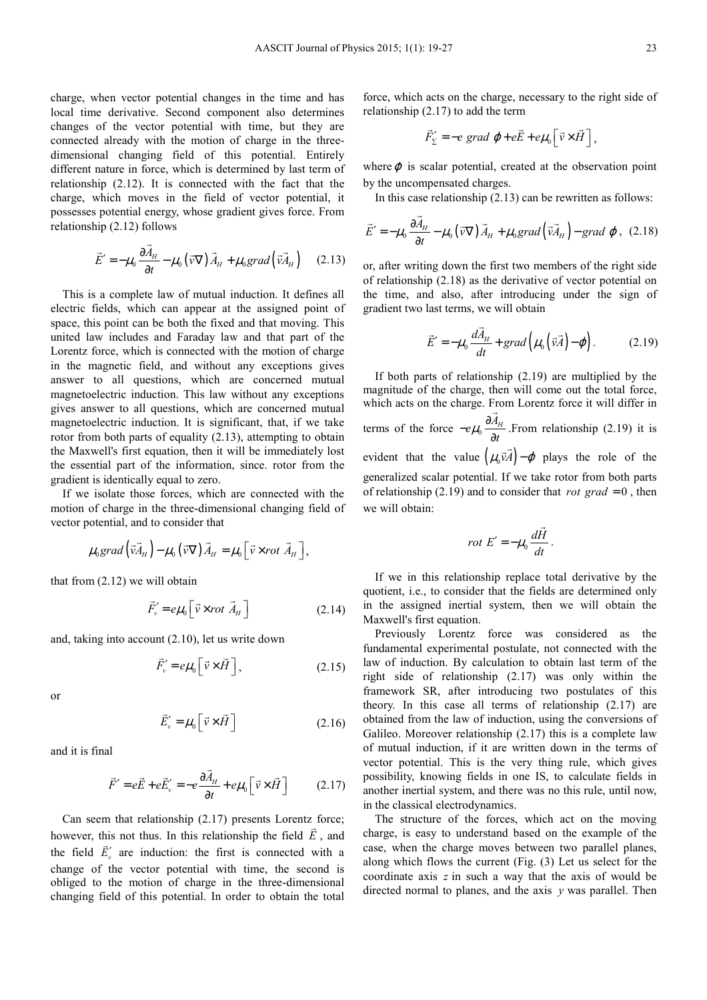charge, when vector potential changes in the time and has local time derivative. Second component also determines changes of the vector potential with time, but they are connected already with the motion of charge in the threedimensional changing field of this potential. Entirely different nature in force, which is determined by last term of relationship (2.12). It is connected with the fact that the charge, which moves in the field of vector potential, it possesses potential energy, whose gradient gives force. From relationship (2.12) follows

$$
\vec{E}' = -\mu_0 \frac{\partial \vec{A}_H}{\partial t} - \mu_0 (\vec{v} \nabla) \vec{A}_H + \mu_0 grad (\vec{v} \vec{A}_H)
$$
 (2.13)

This is a complete law of mutual induction. It defines all electric fields, which can appear at the assigned point of space, this point can be both the fixed and that moving. This united law includes and Faraday law and that part of the Lorentz force, which is connected with the motion of charge in the magnetic field, and without any exceptions gives answer to all questions, which are concerned mutual magnetoelectric induction. This law without any exceptions gives answer to all questions, which are concerned mutual magnetoelectric induction. It is significant, that, if we take rotor from both parts of equality (2.13), attempting to obtain the Maxwell's first equation, then it will be immediately lost the essential part of the information, since. rotor from the gradient is identically equal to zero.

If we isolate those forces, which are connected with the motion of charge in the three-dimensional changing field of vector potential, and to consider that

$$
\mu_0 grad (\vec{v} \vec{A}_H) - \mu_0 (\vec{v} \nabla) \vec{A}_H = \mu_0 [\vec{v} \times rot \vec{A}_H],
$$

that from (2.12) we will obtain

$$
\vec{F}_v' = e\mu_0 \left[ \vec{v} \times rot \vec{A}_H \right]
$$
 (2.14)

and, taking into account (2.10), let us write down

$$
\vec{F}'_{\nu} = e\mu_0 \left[ \vec{v} \times \vec{H} \right], \tag{2.15}
$$

or

$$
\vec{E}'_{\nu} = \mu_0 \left[ \vec{\nu} \times \vec{H} \right] \tag{2.16}
$$

and it is final

$$
\vec{F}' = e\vec{E} + e\vec{E}'_{\nu} = -e\frac{\partial \vec{A}_{H}}{\partial t} + e\mu_{0} \left[\vec{v} \times \vec{H}\right]
$$
 (2.17)

Can seem that relationship  $(2.17)$  presents Lorentz force; however, this not thus. In this relationship the field  $E$ , and the field  $E'_{\nu}$  are induction: the first is connected with a change of the vector potential with time, the second is obliged to the motion of charge in the three-dimensional changing field of this potential. In order to obtain the total

force, which acts on the charge, necessary to the right side of relationship (2.17) to add the term

$$
\vec{F}'_{\Sigma} = -e \text{ grad } \varphi + e\vec{E} + e\mu_0 \left[\vec{v} \times \vec{H}\right],
$$

where  $\varphi$  is scalar potential, created at the observation point by the uncompensated charges.

In this case relationship (2.13) can be rewritten as follows:

$$
\vec{E}' = -\mu_0 \frac{\partial \vec{A}_H}{\partial t} - \mu_0 \left( \vec{v} \nabla \right) \vec{A}_H + \mu_0 \text{grad} \left( \vec{v} \vec{A}_H \right) - \text{grad } \varphi, \text{ (2.18)}
$$

or, after writing down the first two members of the right side of relationship (2.18) as the derivative of vector potential on the time, and also, after introducing under the sign of gradient two last terms, we will obtain

$$
\vec{E}' = -\mu_0 \frac{d\vec{A}_H}{dt} + grad\left(\mu_0 \left(\vec{v}\vec{A}\right) - \varphi\right).
$$
 (2.19)

If both parts of relationship (2.19) are multiplied by the magnitude of the charge, then will come out the total force, which acts on the charge. From Lorentz force it will differ in terms of the force  $-e\mu_0 \frac{\partial A_\mu}{\partial t}$  $-e\mu_{0} \frac{\partial A_{i}}{\partial t}$  $\frac{d^{2}H}{dt}$ . From relationship (2.19) it is evident that the value  $(\mu_0 \vec{v} A) - \varphi$  $\vec{v} \cdot \vec{A}$ ) –  $\varphi$  plays the role of the generalized scalar potential. If we take rotor from both parts of relationship (2.19) and to consider that *rot grad* = 0, then we will obtain:

$$
rot E' = -\mu_0 \frac{d\vec{H}}{dt}.
$$

If we in this relationship replace total derivative by the quotient, i.e., to consider that the fields are determined only in the assigned inertial system, then we will obtain the Maxwell's first equation.

Previously Lorentz force was considered as the fundamental experimental postulate, not connected with the law of induction. By calculation to obtain last term of the right side of relationship (2.17) was only within the framework SR, after introducing two postulates of this theory. In this case all terms of relationship (2.17) are obtained from the law of induction, using the conversions of Galileo. Moreover relationship (2.17) this is a complete law of mutual induction, if it are written down in the terms of vector potential. This is the very thing rule, which gives possibility, knowing fields in one IS, to calculate fields in another inertial system, and there was no this rule, until now, in the classical electrodynamics.

The structure of the forces, which act on the moving charge, is easy to understand based on the example of the case, when the charge moves between two parallel planes, along which flows the current (Fig. (3) Let us select for the coordinate axis *z* in such a way that the axis of would be directed normal to planes, and the axis *y* was parallel. Then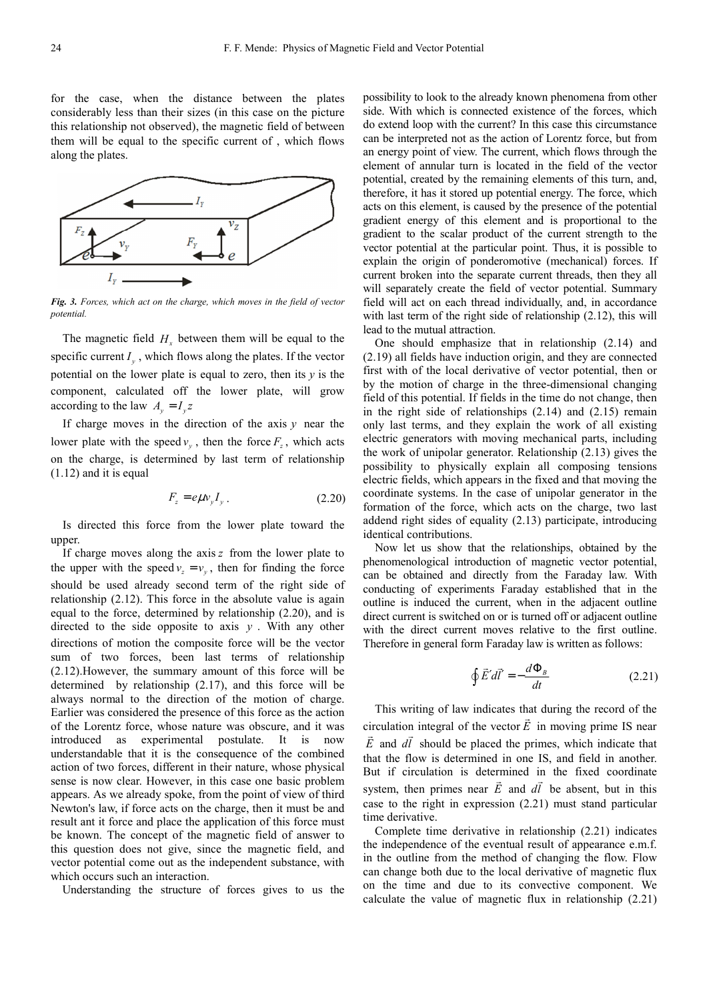for the case, when the distance between the plates considerably less than their sizes (in this case on the picture this relationship not observed), the magnetic field of between them will be equal to the specific current of , which flows along the plates.



*Fig. 3. Forces, which act on the charge, which moves in the field of vector potential.* 

The magnetic field  $H_x$  between them will be equal to the specific current  $I_y$ , which flows along the plates. If the vector potential on the lower plate is equal to zero, then its *y* is the component, calculated off the lower plate, will grow according to the law  $A_v = I_v z$ 

If charge moves in the direction of the axis *y* near the lower plate with the speed  $v_y$ , then the force  $F_z$ , which acts on the charge, is determined by last term of relationship (1.12) and it is equal

$$
F_z = e\mu v_y I_y \,. \tag{2.20}
$$

Is directed this force from the lower plate toward the upper.

If charge moves along the axis *z* from the lower plate to the upper with the speed  $v_z = v_y$ , then for finding the force should be used already second term of the right side of relationship (2.12). This force in the absolute value is again equal to the force, determined by relationship (2.20), and is directed to the side opposite to axis *y* . With any other directions of motion the composite force will be the vector sum of two forces, been last terms of relationship (2.12).However, the summary amount of this force will be determined by relationship (2.17), and this force will be always normal to the direction of the motion of charge. Earlier was considered the presence of this force as the action of the Lorentz force, whose nature was obscure, and it was introduced as experimental postulate. It is now understandable that it is the consequence of the combined action of two forces, different in their nature, whose physical sense is now clear. However, in this case one basic problem appears. As we already spoke, from the point of view of third Newton's law, if force acts on the charge, then it must be and result ant it force and place the application of this force must be known. The concept of the magnetic field of answer to this question does not give, since the magnetic field, and vector potential come out as the independent substance, with which occurs such an interaction.

Understanding the structure of forces gives to us the

possibility to look to the already known phenomena from other side. With which is connected existence of the forces, which do extend loop with the current? In this case this circumstance can be interpreted not as the action of Lorentz force, but from an energy point of view. The current, which flows through the element of annular turn is located in the field of the vector potential, created by the remaining elements of this turn, and, therefore, it has it stored up potential energy. The force, which acts on this element, is caused by the presence of the potential gradient energy of this element and is proportional to the gradient to the scalar product of the current strength to the vector potential at the particular point. Thus, it is possible to explain the origin of ponderomotive (mechanical) forces. If current broken into the separate current threads, then they all will separately create the field of vector potential. Summary field will act on each thread individually, and, in accordance with last term of the right side of relationship  $(2.12)$ , this will lead to the mutual attraction.

One should emphasize that in relationship (2.14) and (2.19) all fields have induction origin, and they are connected first with of the local derivative of vector potential, then or by the motion of charge in the three-dimensional changing field of this potential. If fields in the time do not change, then in the right side of relationships (2.14) and (2.15) remain only last terms, and they explain the work of all existing electric generators with moving mechanical parts, including the work of unipolar generator. Relationship (2.13) gives the possibility to physically explain all composing tensions electric fields, which appears in the fixed and that moving the coordinate systems. In the case of unipolar generator in the formation of the force, which acts on the charge, two last addend right sides of equality (2.13) participate, introducing identical contributions.

Now let us show that the relationships, obtained by the phenomenological introduction of magnetic vector potential, can be obtained and directly from the Faraday law. With conducting of experiments Faraday established that in the outline is induced the current, when in the adjacent outline direct current is switched on or is turned off or adjacent outline with the direct current moves relative to the first outline. Therefore in general form Faraday law is written as follows:

$$
\oint \vec{E}' d\vec{l}' = -\frac{d\Phi_B}{dt} \tag{2.21}
$$

This writing of law indicates that during the record of the circulation integral of the vector  $E$  in moving prime IS near *E* and *dl* should be placed the primes, which indicate that that the flow is determined in one IS, and field in another. But if circulation is determined in the fixed coordinate system, then primes near *E* and *dl* be absent, but in this case to the right in expression (2.21) must stand particular time derivative.

Complete time derivative in relationship (2.21) indicates the independence of the eventual result of appearance e.m.f. in the outline from the method of changing the flow. Flow can change both due to the local derivative of magnetic flux on the time and due to its convective component. We calculate the value of magnetic flux in relationship (2.21)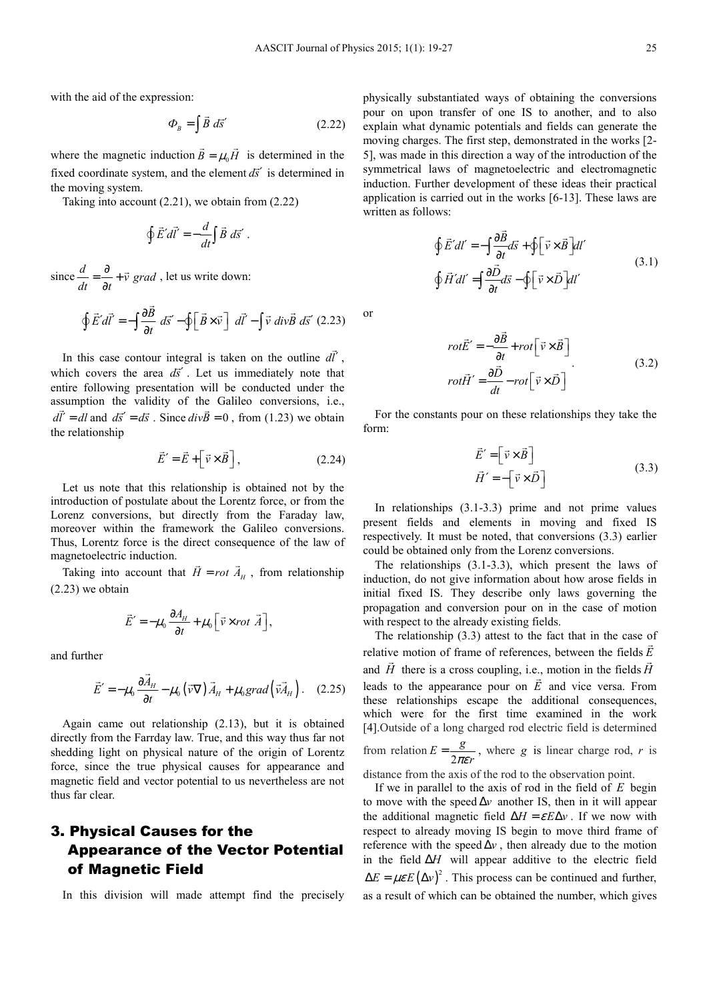with the aid of the expression:

$$
\Phi_B = \int \vec{B} \, d\vec{s}' \tag{2.22}
$$

where the magnetic induction  $B = \mu_0 H$  $\overline{a}$  is determined in the fixed coordinate system, and the element  $d\vec{s}'$  is determined in the moving system.

Taking into account (2.21), we obtain from (2.22)

$$
\oint \vec{E}' d\vec{l}' = -\frac{d}{dt} \int \vec{B} \ d\vec{s}'.
$$

since  $\frac{d}{dt} = \frac{\partial}{\partial t} + \vec{v} \text{ grad}$  $=\frac{\partial}{\partial t}+$  $\vec{v}$  grad, let us write down:

$$
\oint \vec{E}' d\vec{l}' = -\int \frac{\partial \vec{B}}{\partial t} d\vec{s}' - \oint \left[ \vec{B} \times \vec{v} \right] d\vec{l}' - \int \vec{v} \, div \vec{B} \, d\vec{s}' \, (2.23)
$$

In this case contour integral is taken on the outline *dl*′  $\overline{\phantom{a}}$ tegral is taken on the outline  $dl'$ , which covers the area  $d\vec{s}'$ . Let us immediately note that entire following presentation will be conducted under the assumption the validity of the Galileo conversions, i.e.,  $d\vec{l}' = dl$  and  $d\vec{s}' = d\vec{s}$ . Since  $div\vec{B} = 0$ , from (1.23) we obtain the relationship

$$
\vec{E}' = \vec{E} + \left[\vec{v} \times \vec{B}\right],\tag{2.24}
$$

Let us note that this relationship is obtained not by the introduction of postulate about the Lorentz force, or from the Lorenz conversions, but directly from the Faraday law, moreover within the framework the Galileo conversions. Thus, Lorentz force is the direct consequence of the law of magnetoelectric induction.  $\overline{a}$ 

Taking into account that  $H = rot A<sub>H</sub>$ , from relationship (2.23) we obtain

$$
\vec{E}' = -\mu_0 \frac{\partial A_H}{\partial t} + \mu_0 \left[ \vec{v} \times rot \ \vec{A} \right],
$$

and further

$$
\vec{E}' = -\mu_0 \frac{\partial \vec{A}_H}{\partial t} - \mu_0 \left( \vec{v} \nabla \right) \vec{A}_H + \mu_0 \text{grad} \left( \vec{v} \vec{A}_H \right). \quad (2.25)
$$

Again came out relationship (2.13), but it is obtained directly from the Farrday law. True, and this way thus far not shedding light on physical nature of the origin of Lorentz force, since the true physical causes for appearance and magnetic field and vector potential to us nevertheless are not thus far clear.

# 3. Physical Causes for the Appearance of the Vector Potential of Magnetic Field

In this division will made attempt find the precisely

physically substantiated ways of obtaining the conversions pour on upon transfer of one IS to another, and to also explain what dynamic potentials and fields can generate the moving charges. The first step, demonstrated in the works [2- 5], was made in this direction a way of the introduction of the symmetrical laws of magnetoelectric and electromagnetic induction. Further development of these ideas their practical application is carried out in the works [6-13]. These laws are written as follows:

$$
\oint \vec{E}' dl' = -\int \frac{\partial \vec{B}}{\partial t} d\vec{s} + \oint \left[ \vec{v} \times \vec{B} \right] dl'
$$
\n
$$
\oint \vec{H}' dl' = \int \frac{\partial \vec{D}}{\partial t} d\vec{s} - \oint \left[ \vec{v} \times \vec{D} \right] dl'
$$
\n(3.1)

or

$$
rot\vec{E}' = -\frac{\partial \vec{B}}{\partial t} + rot \left[ \vec{v} \times \vec{B} \right]
$$
  

$$
rot\vec{H}' = \frac{\partial \vec{D}}{\partial t} - rot \left[ \vec{v} \times \vec{D} \right]
$$
 (3.2)

For the constants pour on these relationships they take the form:

$$
\vec{E}' = \begin{bmatrix} \vec{v} \times \vec{B} \end{bmatrix}
$$
  

$$
\vec{H}' = -\begin{bmatrix} \vec{v} \times \vec{D} \end{bmatrix}
$$
 (3.3)

In relationships (3.1-3.3) prime and not prime values present fields and elements in moving and fixed IS respectively. It must be noted, that conversions (3.3) earlier could be obtained only from the Lorenz conversions.

The relationships (3.1-3.3), which present the laws of induction, do not give information about how arose fields in initial fixed IS. They describe only laws governing the propagation and conversion pour on in the case of motion with respect to the already existing fields.

The relationship  $(3.3)$  attest to the fact that in the case of relative motion of frame of references, between the fields *E* and *H* there is a cross coupling, i.e., motion in the fields *H* leads to the appearance pour on *E* and vice versa. From these relationships escape the additional consequences, which were for the first time examined in the work [4].Outside of a long charged rod electric field is determined from relation  $E = \frac{1}{2}$  $E = \frac{g}{2\pi\epsilon r}$ , where *g* is linear charge rod, *r* is

distance from the axis of the rod to the observation point.

If we in parallel to the axis of rod in the field of *E* begin to move with the speed ∆*v* another IS, then in it will appear the additional magnetic field  $\Delta H = \varepsilon E \Delta v$ . If we now with respect to already moving IS begin to move third frame of reference with the speed  $\Delta v$ , then already due to the motion in the field ∆*H* will appear additive to the electric field  $\Delta E = \mu \varepsilon E (\Delta v)^2$ . This process can be continued and further, as a result of which can be obtained the number, which gives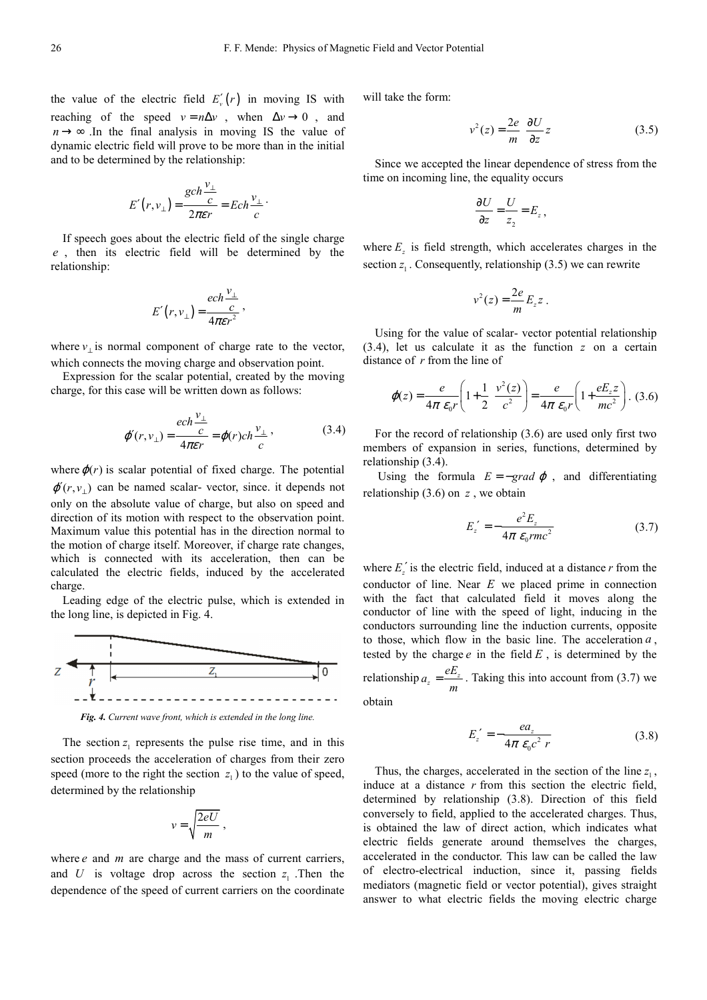the value of the electric field  $E'_r(r)$  in moving IS with reaching of the speed  $v = n\Delta v$ , when  $\Delta v \rightarrow 0$ , and  $n \rightarrow \infty$ . In the final analysis in moving IS the value of dynamic electric field will prove to be more than in the initial and to be determined by the relationship:

$$
E'(r, v_{\perp}) = \frac{gch\frac{v_{\perp}}{c}}{2\pi\epsilon r} = Ech\frac{v_{\perp}}{c}.
$$

If speech goes about the electric field of the single charge *e* , then its electric field will be determined by the relationship:

$$
E'(r, v_{\perp}) = \frac{ech \frac{v_{\perp}}{c}}{4\pi \varepsilon r^2},
$$

where  $v_{\perp}$  is normal component of charge rate to the vector, which connects the moving charge and observation point.

Expression for the scalar potential, created by the moving charge, for this case will be written down as follows:

$$
\varphi'(r, v_{\perp}) = \frac{ech \frac{v_{\perp}}{c}}{4\pi\epsilon r} = \varphi(r) ch \frac{v_{\perp}}{c},
$$
\n(3.4)

where  $\varphi(r)$  is scalar potential of fixed charge. The potential  $\varphi'(r, v_+)$  can be named scalar-vector, since. it depends not only on the absolute value of charge, but also on speed and direction of its motion with respect to the observation point. Maximum value this potential has in the direction normal to the motion of charge itself. Moreover, if charge rate changes, which is connected with its acceleration, then can be calculated the electric fields, induced by the accelerated charge.

Leading edge of the electric pulse, which is extended in the long line, is depicted in Fig. 4.



*Fig. 4. Current wave front, which is extended in the long line.* 

The section  $z_1$  represents the pulse rise time, and in this section proceeds the acceleration of charges from their zero speed (more to the right the section  $z_1$ ) to the value of speed, determined by the relationship

$$
v = \sqrt{\frac{2eU}{m}} \; ,
$$

where *e* and *m* are charge and the mass of current carriers, and U is voltage drop across the section  $z_1$ . Then the dependence of the speed of current carriers on the coordinate

will take the form:

$$
v^2(z) = \frac{2e}{m} \frac{\partial U}{\partial z} z \tag{3.5}
$$

Since we accepted the linear dependence of stress from the time on incoming line, the equality occurs

$$
\frac{\partial U}{\partial z} = \frac{U}{z_2} = E_z \,,
$$

where  $E_z$  is field strength, which accelerates charges in the section  $z_1$ . Consequently, relationship (3.5) we can rewrite

$$
v^2(z) = \frac{2e}{m} E_z z.
$$

Using for the value of scalar- vector potential relationship (3.4), let us calculate it as the function *z* on a certain distance of *r* from the line of

$$
\varphi(z) = \frac{e}{4\pi \varepsilon_0 r} \left( 1 + \frac{1}{2} \frac{v^2(z)}{c^2} \right) = \frac{e}{4\pi \varepsilon_0 r} \left( 1 + \frac{eE_z z}{mc^2} \right). \tag{3.6}
$$

For the record of relationship (3.6) are used only first two members of expansion in series, functions, determined by relationship (3.4).

Using the formula  $E = -\text{grad }\varphi$ , and differentiating relationship  $(3.6)$  on  $z$ , we obtain

$$
E'_{z} = -\frac{e^2 E_z}{4\pi \ \varepsilon_0 rmc^2} \tag{3.7}
$$

where  $E'_z$  is the electric field, induced at a distance  $r$  from the conductor of line. Near *E* we placed prime in connection with the fact that calculated field it moves along the conductor of line with the speed of light, inducing in the conductors surrounding line the induction currents, opposite to those, which flow in the basic line. The acceleration  $a$ , tested by the charge  $e$  in the field  $E$ , is determined by the relationship  $a_z = \frac{CD_z}{\sigma}$  $a_z = \frac{eE_z}{m}$ . Taking this into account from (3.7) we

obtain

$$
E'_{z} = -\frac{ea_{z}}{4\pi \varepsilon_{0}c^{2} r}
$$
 (3.8)

Thus, the charges, accelerated in the section of the line  $z_1$ , induce at a distance *r* from this section the electric field, determined by relationship (3.8). Direction of this field conversely to field, applied to the accelerated charges. Thus, is obtained the law of direct action, which indicates what electric fields generate around themselves the charges, accelerated in the conductor. This law can be called the law of electro-electrical induction, since it, passing fields mediators (magnetic field or vector potential), gives straight answer to what electric fields the moving electric charge